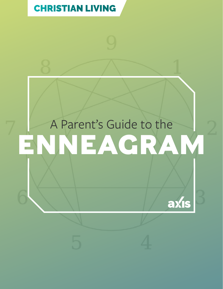### [CHRISTIAN LIVING](https://axis.org/parent-guides/#christianliving)

# A Parent's Guide to the **ENNEAGRAM**

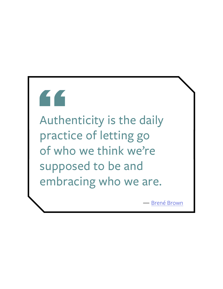# Auther

Authenticity is the daily practice of letting go of who we think we're supposed to be and embracing who we are.

— [Brené Brown](https://www.amazon.com/Gifts-Imperfection-Think-Supposed-Embrace/dp/159285849X/ref=tmm_pap_swatch_0?_encoding=UTF8&qid=&sr=)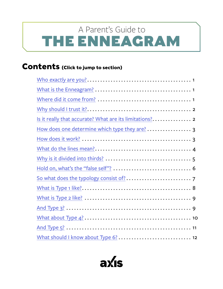# <span id="page-2-0"></span>THE ENNEAGRAM A Parent's Guide to

#### **Contents (Click to jump to section)**

| How does one determine which type they are?  3 |
|------------------------------------------------|
|                                                |
|                                                |
|                                                |
|                                                |
|                                                |
|                                                |
|                                                |
|                                                |
|                                                |
|                                                |
|                                                |

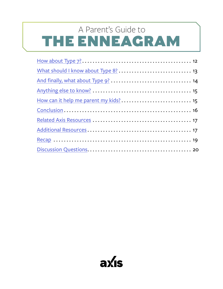# THE ENNEAGRAM A Parent's Guide to

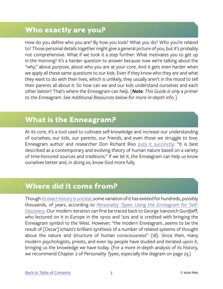#### <span id="page-4-0"></span>**Who exactly are you?**

How do you define who you are? By how you look? What you do? Who you're related to? Those personal details together might give a general picture of you, but it's probably not comprehensive. What if we took it a step further: What motivates you to get up in the morning? It's a harder question to answer because now we're talking about the "why," about purpose, about who you are at your core. And it gets even harder when we apply all these same questions to our kids. Even if they know who they are and what they want to do with their lives, which is unlikely, they usually aren't in the mood to tell their parents all about it. So how can we and our kids understand ourselves and each other better? That's where the Enneagram can help. *[Note: This Guide is only a primer to the Enneagram. See Additional Resources below for more in-depth info.]*

#### **What is the Enneagram?**

At its core, it's a tool used to cultivate self-knowledge and increase our understanding of ourselves, our kids, our parents, our friends, and even those we struggle to love. Enneagram author and researcher Don Richard Riso [puts it succinctly:](https://www.christianbook.com/personality-using-enneagram-discovery-revised-edition/don-riso/9780395798676/pd/798676?event=ESRCG) "It is best described as a contemporary and evolving theory of human nature based on a variety of time-honored sources and traditions." If we let it, the Enneagram can help us know ourselves better and, in doing so, know God more fully.

#### **Where did it come from?**

Though [its exact history is unclear](https://www.enneagramspectrum.com/173/history-of-the-enneagram/), some variation of it has existed for hundreds, possibly thousands, of years, according to *[Personality Types: Using the Enneagram for Self-](https://www.christianbook.com/personality-using-enneagram-discovery-revised-edition/don-riso/9780395798676/pd/798676?event=ESRCG)[Discovery](https://www.christianbook.com/personality-using-enneagram-discovery-revised-edition/don-riso/9780395798676/pd/798676?event=ESRCG)*. Our modern iteration can first be traced back to George Ivanovich Gurdjieff, who lectured on it in Europe in the 1910s and '20s and is credited with bringing the Enneagram symbol to the West. However, "the modern Enneagram...seems to be the result of [Oscar] Ichazo's brilliant synthesis of a number of related systems of thought about the nature and structure of human consciousness" (18). Since then, many modern psychologists, priests, and even lay people have studied and iterated upon it, bringing us the knowledge we have today. (For a more in-depth analysis of its history, we recommend Chapter 2 of *Personality Types*, especially the diagram on page 23.)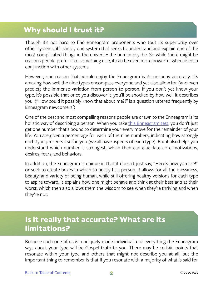#### <span id="page-5-0"></span>**Why should I trust it?**

Though it's not hard to find Enneagram proponents who tout its superiority over other systems, it's simply one system that seeks to understand and explain one of the most complicated things in the universe: the human psyche. So while there might be reasons people prefer it to something else, it can be even more powerful when used in conjunction with other systems.

However, one reason that people enjoy the Enneagram is its uncanny accuracy. It's amazing how well the nine types encompass everyone and yet also allow for (and even predict) the immense variation from person to person. If you don't yet know your type, it's possible that once you discover it, you'll be shocked by how well it describes you. ("How could it possibly know that about me?!" is a question uttered frequently by Enneagram newcomers.)

One of the best and most compelling reasons people are drawn to the Enneagram is its holistic way of describing a person. When you take [this Enneagram test,](https://tests.enneagraminstitute.com/orders/create) you don't just get one number that's bound to determine your every move for the remainder of your life. You are given a percentage for each of the nine numbers, indicating how strongly each type presents itself in you (we all have aspects of each type). But it also helps you understand which number is strongest, which then can elucidate core motivations, desires, fears, and behaviors.

In addition, the Enneagram is unique in that it doesn't just say, "Here's how you are!" or seek to create boxes in which to neatly fit a person. It allows for all the messiness, beauty, and variety of being human, while still offering healthy versions for each type to aspire toward. It explains how one might behave and think at their best *and* at their worst, which then also allows them the wisdom to see when they're thriving and when they're not.

#### **Is it really that accurate? What are its limitations?**

Because each one of us is a uniquely made individual, not everything the Enneagram says about your type will be Gospel truth to you. There may be certain points that resonate within your type and others that might not describe you at all, but the important thing to remember is that if you resonate with a majority of what is said for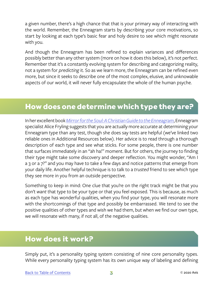<span id="page-6-0"></span>a given number, there's a high chance that that is your primary way of interacting with the world. Remember, the Enneagram starts by describing your core motivations, so start by looking at each type's basic fear and holy desire to see which might resonate with you.

And though the Enneagram has been refined to explain variances and differences possibly better than any other system (more on how it does this below), it's not perfect. Remember that it's a constantly evolving system for describing and categorizing reality, not a system for *predicting* it. So as we learn more, the Enneagram can be refined even more, but since it seeks to describe one of the most complex, elusive, and unknowable aspects of our world, it will never fully encapsulate the whole of the human psyche.

#### **How does one determine which type they are?**

In her excellent book *[Mirror for the Soul: A Christian Guide to the Enneagram](https://www.christianbook.com/mirror-the-soul-christian-guide-enneagram/alice-fryling/9780830846320/pd/846320)*, Enneagram specialist Alice Fryling suggests that you are actually more accurate at determining your Enneagram type than any test, though she does say tests are helpful (we've linked two reliable ones in Additional Resources below). Her advice is to read through a thorough description of each type and see what sticks. For some people, there is one number that surfaces immediately in an "ah ha!" moment. But for others, the journey to finding their type might take some discovery and deeper reflection. You might wonder, "Am I a 3 or a 7?" and you may have to take a few days and notice patterns that emerge from your daily life. Another helpful technique is to talk to a *trusted* friend to see which type they see more in you from an outside perspective.

Something to keep in mind: One clue that you're on the right track might be that you don't *want* that type to be your type or that you feel exposed. This is because, as much as each type has wonderful qualities, when you find your type, you will resonate more with the shortcomings of that type and possibly be embarrassed. We tend to see the positive qualities of other types and wish we had them, but when we find our own type, we will resonate with many, if not all, of the negative qualities.

#### **How does it work?**

Simply put, it's a personality typing system consisting of nine core personality types. While every personality typing system has its own unique way of labeling and defining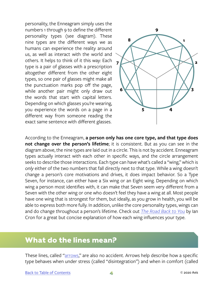<span id="page-7-0"></span>personality, the Enneagram simply uses the numbers 1 through 9 to define the different personality types (see diagram). These nine types are the different ways we as humans can experience the reality around us, as well as interact with the world and others. It helps to think of it this way: Each type is a pair of glasses with a prescription altogether different from the other eight types, so one pair of glasses might make all the punctuation marks pop off the page, while another pair might only draw out the words that start with capital letters. Depending on which glasses you're wearing, you experience the words on a page in a different way from someone reading the exact same sentence with different glasses.



According to the Enneagram, **a person only has one core type, and that type does not change over the person's lifetime**; it is consistent. But as you can see in the diagram above, the nine types are laid out in a circle. This is not by accident. Enneagram types actually interact with each other in specific ways, and the circle arrangement seeks to describe those interactions. Each type can have what's called a "wing," which is *only* either of the two numbers that fall directly next to that type. While a wing doesn't change a person's core motivations and drives, it does impact behavior. So a Type Seven, for instance, can either have a Six wing or an Eight wing. Depending on which wing a person most identifies with, it can make that Seven seem very different from a Seven with the other wing or one who doesn't feel they have a wing at all. Most people have one wing that is strongest for them, but ideally, as you grow in health, you will be able to express both more fully. In addition, unlike the core personality types, wings can and do change throughout a person's lifetime. Check out *[The Road Back to You](https://www.amazon.com/Road-Back-You-Enneagram-Self-Discovery/dp/0830846190/ref=sr_1_2_sspa?ie=UTF8&qid=1548877074&sr=8-2-spons&keywords=the+road+back+to+you&psc=1)* by Ian Cron for a great but concise explanation of how each wing influences your type.

#### **What do the lines mean?**

These lines, called "[arrows,](https://www.youtube.com/watch?v=LCwIEOZIhx4)" are also no accident. Arrows help describe how a specific type behaves when under stress (called "disintegration") and when in comfort (called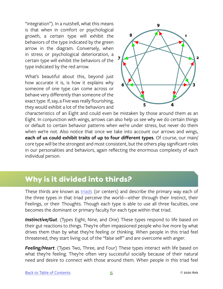<span id="page-8-0"></span>"integration"). In a nutshell, what this means is that when in comfort or psychological growth, a certain type will exhibit the behaviors of the type indicated by the green arrow in the diagram. Conversely, when in stress or psychological deterioration, a certain type will exhibit the behaviors of the type indicated by the red arrow.

What's beautiful about this, beyond just how accurate it is, is how it explains why someone of one type can come across or behave very differently than someone of the exact type. If, say, a Five was really flourishing, they would exhibit a lot of the behaviors and



characteristics of an Eight and could even be mistaken by those around them as an Eight. In conjunction with wings, arrows can also help us see why we do certain things or default to certain behavior patterns when we're under stress, but never do them when we're not. Also notice that once we take into account our arrows and wings, **each of us could exhibit traits of up to four different types**. Of course, our main/ core type will be the strongest and most consistent, but the others play significant roles in our personalities and behaviors, again reflecting the enormous complexity of each individual person.

#### **Why is it divided into thirds?**

These thirds are known as [triads](http://www.fitzel.ca/enneagram/triads.html) (or centers) and describe the primary way each of the three types in that triad perceive the world—either through their Instinct, their Feelings, or their Thoughts. Though each type is able to use all three faculties, one becomes the dominant or primary faculty for each type within that triad.

**Instinctive/Gut**. (Types Eight, Nine, and One) These types respond to life based on their gut reactions to things. They're often impassioned people who live more by what drives them than by what they're feeling or thinking. When people in this triad feel threatened, they start living out of the "false self" and are overcome with *anger*.

*Feeling/Heart*. (Types Two, Three, and Four) These types interact with life based on what they're feeling. They're often very successful socially because of their natural need and desire to connect with those around them. When people in this triad feel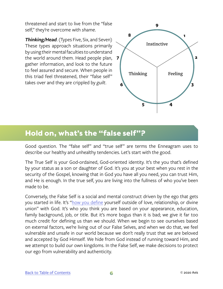<span id="page-9-0"></span>threatened and start to live from the "false self," they're overcome with *shame*.

*Thinking/Head*. (Types Five, Six, and Seven) These types approach situations primarily by using their mental faculties to understand the world around them. Head people plan, **7** gather information, and look to the future to feel assured and secure. When people in this triad feel threatened, their "false self" takes over and they are crippled by *guilt*.



#### **Hold on, what's the "false self"?**

Good question. The "false self" and "true self" are terms the Enneagram uses to describe our healthy and unhealthy tendencies. Let's start with the good.

The True Self is your God-ordained, God-oriented identity. It's the you that's defined by your status as a son or daughter of God. It's you at your best when you rest in the security of the Gospel, knowing that in God you have all you need, you can trust Him, and He is enough. In the true self, you are living into the fullness of who you've been made to be.

Conversely, the False Self is a social and mental construct driven by the ego that gets you started in life. It's ["how you define](https://cac.org/losing-myself-to-find-myself-2016-08-02/) yourself outside of love, relationship, or divine union" with God. It's who you think you are based on your appearance, education, family background, job, or title. But it's more bogus than it is bad; we give it far too much credit for defining us than we should. When we begin to see ourselves based on external factors, we're living out of our False Selves, and when we do that, we feel vulnerable and unsafe in our world because we don't really trust that we are beloved and accepted by God Himself. We hide from God instead of running toward Him, and we attempt to build our own kingdoms. In the False Self, we make decisions to protect our ego from vulnerability and authenticity.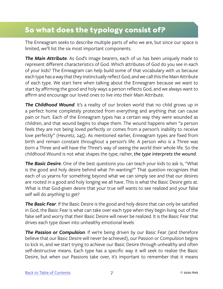#### <span id="page-10-0"></span>**So what does the typology consist of?**

The Enneagram seeks to describe multiple parts of who we are, but since our space is limited, we'll list the six most important components.

*The Main Attribute*. As God's image bearers, each of us has been uniquely made to represent different characteristics of God. Which attributes of God do you see in each of your kids? The Enneagram can help build some of that vocabulary with us because each type has a way that they instinctually reflect God, and we call this the Main Attribute of each type. We start here when talking about the Enneagram because we want to start by affirming the good and holy ways a person reflects God, and we always want to affirm and encourage our loved ones to live into their Main Attribute.

**The Childhood Wound**. It's a reality of our broken world that no child grows up in a perfect home completely protected from everything and anything that can cause pain or hurt. Each of the Enneagram types has a certain way they were wounded as children, and that wound begins to shape them. The wound happens when "a person feels they are not being loved perfectly or comes from a person's inability to receive love perfectly" (Heuretz, 245). As mentioned earlier, Enneagram types are fixed from birth and remain constant throughout a person's life. A person who is a Three was born a Three and will have the Three's way of seeing the world their whole life. So the childhood Wound is not what shapes the type; rather, *the type interprets the wound*.

*The Basic Desire*. One of the best questions you can teach your kids to ask is, "What is the good and holy desire behind what I'm wanting?" That question recognizes that each of us yearns for something beyond what we can simply see and that our desires are rooted in a good and holy longing we all have. This is what the Basic Desire gets at. What is that God-given desire that your true self wants to see realized and your false self will do *anything* to get?

*The Basic Fear*. If the Basic Desire is the good and holy desire that can only be satisfied in God, the Basic Fear is what can take over each type when they begin living out of the false self and worry that their Basic Desire will never be realized. It is the Basic Fear that drives each type down into unhealthy emotional levels

*The Passion or Compulsion*. If we're being driven by our Basic Fear (and therefore believe that our Basic Desire will never be achieved), our Passion or Compulsion begins to kick in, and we start trying to achieve our Basic Desire through unhealthy and often self-destructive means. Each type has a specific way it will seek to realize the Basic Desire, but when our Passions take over, it's important to remember that it means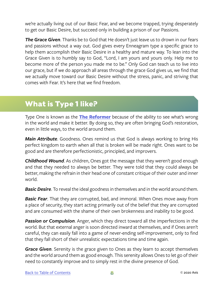<span id="page-11-0"></span>we're actually living out of our Basic Fear, and we become trapped, trying desperately to get our Basic Desire, but succeed only in building a prison of our Passions.

*The Grace Given*. Thanks be to God that He doesn't just leave us to drown in our fears and passions without a way out. God gives every Enneagram type a specific grace to help them accomplish their Basic Desire in a healthy and mature way. To lean into the Grace Given is to humbly say to God, "Lord, I am yours and yours only. Help me to become more of the person you made me to be." Only God can teach us to live into our grace, but if we do approach all areas through the grace God gives us, we find that we actually move toward our Basic Desire without the stress, panic, and striving that comes with Fear. It's here that we find freedom.

#### **What is Type 1 like?**

Type One is known as the **[The Reformer](https://www.enneagraminstitute.com/type-1/)** because of the ability to see what's wrong in the world and make it better. By doing so, they are often bringing God's restoration, even in little ways, to the world around them.

*Main Attribute*. Goodness. Ones remind us that God is always working to bring His perfect kingdom to earth when all that is broken will be made right. Ones want to be good and are therefore perfectionistic, principled, and improvers.

*Childhood Wound*. As children, Ones got the message that they weren't good enough and that they needed to always be better. They were told that they could always be better, making the refrain in their head one of constant critique of their outer and inner world.

**Basic Desire**. To reveal the ideal goodness in themselves and in the world around them.

*Basic Fear*. That they are corrupted, bad, and immoral. When Ones move away from a place of security, they start acting primarily out of the belief that they are corrupted and are consumed with the shame of their own brokenness and inability to be good.

*Passion or Compulsion*. Anger, which they direct toward all the imperfections in the world. But that external anger is soon directed inward at themselves, and if Ones aren't careful, they can easily fall into a game of never-ending self-improvement, only to find that they fall short of their unrealistic expectations time and time again.

*Grace Given*. Serenity is the grace given to Ones as they learn to accept themselves and the world around them as good enough. This serenity allows Ones to let go of their need to constantly improve and to simply rest in the divine presence of God.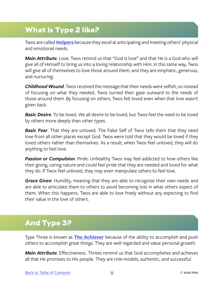#### <span id="page-12-0"></span>**What is Type 2 like?**

Twos are called **[Helpers](https://www.enneagraminstitute.com/type-2)** because they excel at anticipating and meeting others' physical and emotional needs.

*Main Attribute*. Love. Twos remind us that "God is love" and that He is a God who will give all of Himself to bring us into a loving relationship with Him. In this same way, Twos will give all of themselves to love those around them, and they are emphatic, generous, and nurturing.

*Childhood Wound*. Twos received the message that their needs were selfish, so instead of focusing on what they needed, Twos turned their gaze outward to the needs of those around them. By focusing on others, Twos felt loved even when that love wasn't given back.

*Basic Desire*. To be loved. We all desire to be loved, but Twos feel the need to be loved by others more deeply than other types.

*Basic Fear*. That they are unloved. The False Self of Twos tells them that they need love from all other places except God. Twos were told that they would be loved if they loved others rather than themselves. As a result, when Twos feel unloved, they will do anything to feel love.

*Passion or Compulsion*. Pride. Unhealthy Twos may feel addicted to how others like their giving, caring nature and could feel pride that they are needed and loved for what they do. If Twos feel unloved, they may even manipulate others to feel love.

*Grace Given*. Humility, meaning that they are able to recognize their own needs and are able to articulate them to others to avoid becoming lost in what others expect of them. When this happens, Twos are able to love freely without any expecting to find their value in the love of others.

#### **And Type 3?**

Type Three is known as **[The Achiever](https://www.enneagraminstitute.com/type-3)** because of the ability to accomplish and push others to accomplish great things. They are well regarded and value personal growth.

*Main Attribute*. Effectiveness. Threes remind us that God accomplishes and achieves all that He promises to His people. They are role-models, authentic, and successful.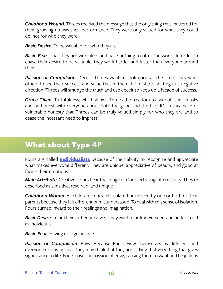<span id="page-13-0"></span>*Childhood Wound*. Threes received the message that the only thing that mattered for them growing up was their performance. They were only valued for what they could do, not for who they were.

*Basic Desire*. To be valuable for who they are.

**Basic Fear**. That they are worthless and have nothing to offer the world. In order to chase their desire to be valuable, they work harder and faster than everyone around them.

*Passion or Compulsion*. Deceit. Threes want to look good all the time. They want others to see their success and value that in them. If life starts shifting in a negative direction, Threes will smudge the truth and use deceit to keep up a facade of success.

*Grace Given*. Truthfulness, which allows Threes the freedom to take off their masks and be honest with everyone about both the good and the bad. It's in this place of vulnerable honesty that Threes can be truly valued simply for who they are and to cease the incessant need to impress.

#### **What about Type 4?**

Fours are called **[Individualists](https://www.enneagraminstitute.com/type-4)** because of their ability to recognize and appreciate what makes everyone different. They are unique, appreciative of beauty, and good at facing their emotions.

*Main Attribute*. Creative. Fours bear the image of God's extravagant creativity. They're described as sensitive, reserved, and unique.

*Childhood Wound*. As children, Fours felt isolated or unseen by one or both of their parents because they felt different or misunderstood. To deal with this sense of isolation, Fours turned inward to their feelings and imagination.

*Basic Desire*. To be their authentic selves. They want to be known, seen, and understood as individuals.

*Basic Fear*. Having no significance.

*Passion or Compulsion*. Envy. Because Fours view themselves as different and everyone else as normal, they may think that they are lacking that very thing that gives significance to life. Fours have the passion of envy, causing them to want and be jealous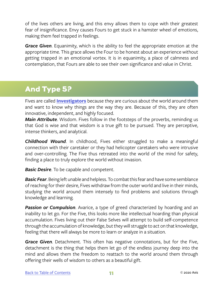<span id="page-14-0"></span>of the lives others are living, and this envy allows them to cope with their greatest fear of insignificance. Envy causes Fours to get stuck in a hamster wheel of emotions, making them feel trapped in feelings.

*Grace Given*. Equanimity, which is the ability to feel the appropriate emotion at the appropriate time. This grace allows the Four to be honest about an experience without getting trapped in an emotional vortex. It is in equanimity, a place of calmness and contemplation, that Fours are able to see their own significance and value in Christ.

#### **And Type 5?**

Fives are called **[Investigators](https://www.enneagraminstitute.com/type-5)** because they are curious about the world around them and want to know why things are the way they are. Because of this, they are often innovative, independent, and highly focused.

*Main Attribute*. Wisdom. Fives follow in the footsteps of the proverbs, reminding us that God is wise and that wisdom is a true gift to be pursued. They are perceptive, intense thinkers, and analytical.

*Childhood Wound*. In childhood, Fives either struggled to make a meaningful connection with their caretaker or they had helicopter caretakers who were intrusive and over-controlling. The Five thus retreated into the world of the mind for safety, finding a place to truly explore the world without invasion.

*Basic Desire*. To be capable and competent.

*Basic Fear*. Being left unable and helpless. To combat this fear and have some semblance of reaching for their desire, Fives withdraw from the outer world and live in their minds, studying the world around them intensely to find problems and solutions through knowledge and learning.

**Passion or Compulsion**. Avarice, a type of greed characterized by hoarding and an inability to let go. For the Five, this looks more like intellectual hoarding than physical accumulation. Fives living out their False Selves will attempt to build self-competence through the accumulation of knowledge, but they will struggle to act on that knowledge, feeling that there will always be more to learn or analyze in a situation.

*Grace Given*. Detachment. This often has negative connotations, but for the Five, detachment is the thing that helps them let go of the endless journey deep into the mind and allows them the freedom to reattach to the world around them through offering their wells of wisdom to others as a beautiful gift.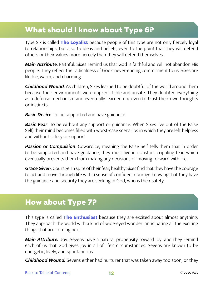#### <span id="page-15-0"></span>**What should I know about Type 6?**

Type Six is called **[The Loyalist](https://www.enneagraminstitute.com/type-6)** because people of this type are not only fiercely loyal to relationships, but also to ideas and beliefs, even to the point that they will defend others or their values more fiercely than they will defend themselves.

*Main Attribute*. Faithful. Sixes remind us that God is faithful and will not abandon His people. They reflect the radicalness of God's never-ending commitment to us. Sixes are likable, warm, and charming.

*Childhood Wound*. As children, Sixes learned to be doubtful of the world around them because their environments were unpredictable and unsafe. They doubted everything as a defense mechanism and eventually learned not even to trust their own thoughts or instincts.

*Basic Desire*. To be supported and have guidance.

*Basic Fear*. To be without any support or guidance. When Sixes live out of the False Self, their mind becomes filled with worst-case scenarios in which they are left helpless and without safety or support.

*Passion or Compulsion*. Cowardice, meaning the False Self tells them that in order to be supported and have guidance, they must live in constant crippling fear, which eventually prevents them from making any decisions or moving forward with life.

*Grace Given*. Courage. In spite of their fear, healthy Sixes find that they have the courage to act and move through life with a sense of confident courage knowing that they have the guidance and security they are seeking in God, who is their safety.

#### **How about Type 7?**

This type is called **[The Enthusiast](https://www.enneagraminstitute.com/type-7)** because they are excited about almost anything. They approach the world with a kind of wide-eyed wonder, anticipating all the exciting things that are coming next.

**Main Attribute.** Joy. Sevens have a natural propensity toward joy, and they remind each of us that God gives joy in all of life's circumstances. Sevens are known to be energetic, lively, and spontaneous.

*Childhood Wound.* Sevens either had nurturer that was taken away too soon, or they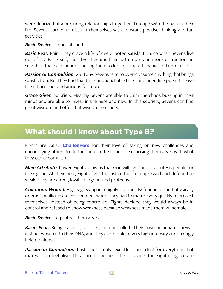<span id="page-16-0"></span>were deprived of a nurturing relationship altogether. To cope with the pain in their life, Sevens learned to distract themselves with constant positive thinking and fun activities.

*Basic Desire.* To be satisfied.

*Basic Fear.* Pain. They crave a life of deep-rooted satisfaction, so when Sevens live out of the False Self, their lives become filled with more and more distractions in search of that satisfaction, causing them to look distracted, manic, and unfocused.

*Passion or Compulsion.* Gluttony. Sevens tend to over-consume anything that brings satisfaction. But they find that their unquenchable thirst and unending pursuits leave them burnt out and anxious for more.

*Grace Given.* Sobriety. Healthy Sevens are able to calm the chaos buzzing in their minds and are able to invest in the here and now. In this sobriety, Sevens can find great wisdom and offer that wisdom to others.

#### **What should I know about Type 8?**

Eights are called **[Challengers](https://www.enneagraminstitute.com/type-8)** for their love of taking on new challenges and encouraging others to do the same in the hopes of surprising themselves with what they can accomplish.

*Main Attribute.* Power. Eights show us that God will fight on behalf of His people for their good. At their best, Eights fight for justice for the oppressed and defend the weak. They are direct, loyal, energetic, and protective.

*Childhood Wound.* Eights grew up in a highly chaotic, dysfunctional, and physically or emotionally unsafe environment where they had to mature very quickly to protect themselves. Instead of being controlled, Eights decided they would always be in control and refused to show weakness because weakness made them vulnerable.

*Basic Desire.* To protect themselves.

**Basic Fear.** Being harmed, violated, or controlled. They have an innate survival instinct woven into their DNA, and they are people of very high intensity and strongly held opinions.

**Passion or Compulsion.** Lust—not simply sexual lust, but a lust for everything that makes them feel alive. This is ironic because the behaviors the Eight clings to are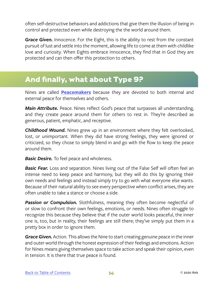<span id="page-17-0"></span>often self-destructive behaviors and addictions that give them the illusion of being in control and protected even while destroying the the world around them.

*Grace Given.* Innocence. For the Eight, this is the ability to rest from the constant pursuit of lust and settle into the moment, allowing life to come at them with childlike love and curiosity. When Eights embrace innocence, they find that in God they are protected and can then offer this protection to others.

#### **And finally, what about Type 9?**

Nines are called **[Peacemakers](https://www.enneagraminstitute.com/type-9)** because they are devoted to both internal and external peace for themselves and others.

*Main Attribute.* Peace. Nines reflect God's peace that surpasses all understanding, and they create peace around them for others to rest in. They're described as generous, patient, emphatic, and receptive.

*Childhood Wound.* Nines grew up in an environment where they felt overlooked, lost, or unimportant. When they did have strong feelings, they were ignored or criticized, so they chose to simply blend in and go with the flow to keep the peace around them.

*Basic Desire.* To feel peace and wholeness.

**Basic Fear.** Loss and separation. Nines living out of the False Self will often feel an intense need to keep peace and harmony, but they will do this by ignoring their own needs and feelings and instead simply try to go with what everyone else wants. Because of their natural ability to see every perspective when conflict arises, they are often unable to take a stance or choose a side.

*Passion or Compulsion.* Slothfulness, meaning they often become neglectful of or slow to confront their own feelings, emotions, or needs. Nines often struggle to recognize this because they believe that if the outer world looks peaceful, the inner one is, too, but in reality, their feelings are still there; they've simply put them in a pretty box in order to ignore them.

*Grace Given.* Action. This allows the Nine to start creating genuine peace in the inner and outer world through the honest expression of their feelings and emotions. Action for Nines means giving themselves space to take action and speak their opinion, even in tension. It is there that true peace is found.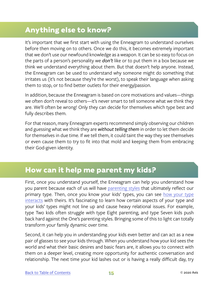#### <span id="page-18-0"></span>**Anything else to know?**

It's important that we first start with using the Enneagram to understand ourselves before then moving on to others. Once we do this, it becomes extremely important that we don't use our newfound knowledge as a weapon. It can be so easy to focus on the parts of a person's personality we *don't* like or to put them in a box because we think we understand everything about them. But that doesn't help anyone. Instead, the Enneagram can be used to understand why someone might do something that irritates us (it's not because they're the worst), to speak their language when asking them to stop, or to find better outlets for their energy/passion.

In addition, because the Enneagram is based on core motivations and values—things we often don't reveal to others—it's never smart to tell someone what we think they are. We'll often be wrong! Only they can decide for themselves which type best and fully describes them.

For that reason, many Enneagram experts recommend simply observing our children and guessing what we think they are *without telling them* in order to let them decide for themselves in due time. If we tell them, it could taint the way they see themselves or even cause them to try to fit into that mold and keeping them from embracing their God-given identity.

#### **How can it help me parent my kids?**

First, once you understand yourself, the Enneagram can help you understand how you parent because each of us will have [parenting styles](http://www.anngadd.co.za/2015/10/enneagram-parenting-styles/) that ultimately reflect our primary type. Then, once you know your kids' types, you can see [how your type](https://www.enneagraminstitute.com/the-enneagram-type-combinations/)  [interacts](https://www.enneagraminstitute.com/the-enneagram-type-combinations/) with theirs. It's fascinating to learn how certain aspects of your type and your kids' types might not line up and cause heavy relational issues. For example, type Two kids often struggle with type Eight parenting, and type Seven kids push back hard against the One's parenting styles. Bringing some of this to light can totally transform your family dynamic over time.

Second, it can help you in understanding your kids even better and can act as a new pair of glasses to see your kids through. When you understand how your kid sees the world and what their basic desires and basic fears are, it allows you to connect with them on a deeper level, creating more opportunity for authentic conversation and relationship. The next time your kid lashes out or is having a really difficult day, try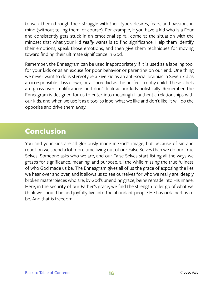<span id="page-19-0"></span>to walk them through their struggle with their type's desires, fears, and passions in mind (without telling them, of course). For example, if you have a kid who is a Four and consistently gets stuck in an emotional spiral, come at the situation with the mindset that what your kid *really* wants is to find significance. Help them identify their emotions, speak those emotions, and then give them techniques for moving toward finding their ultimate significance in God.

Remember, the Enneagram can be used inappropriately if it is used as a labeling tool for your kids or as an excuse for poor behavior or parenting on our end. One thing we never want to do is stereotype a Five kid as an anti-social brainiac, a Seven kid as an irresponsible class clown, or a Three kid as the perfect trophy child. These labels are gross oversimplifications and don't look at our kids holistically. Remember, the Enneagram is designed for us to enter into meaningful, authentic relationships with our kids, and when we use it as a tool to label what we like and don't like, it will do the opposite and drive them away.

#### **Conclusion**

You and your kids are all gloriously made in God's image, but because of sin and rebellion we spend a lot more time living out of our False Selves than we do our True Selves. Someone asks who we are, and our False Selves start listing all the ways we grasps for significance, meaning, and purpose, all the while missing the true fullness of who God made us be. The Enneagram gives all of us the grace of exposing the lies we hear over and over, and it allows us to see ourselves for who we really are: deeply broken masterpieces who are, by God's unending grace, being remade into His image. Here, in the security of our Father's grace, we find the strength to let go of what we think we should be and joyfully live into the abundant people He has ordained us to be. And that is freedom.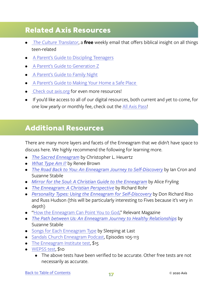#### <span id="page-20-0"></span>**Related Axis Resources**

- *• [The Culture Translator](http://axis.org/ct)*, a **free** weekly email that offers biblical insight on all things teen-related
- [A Parent's Guide to Discipling Teenagers](https://axis.org/guides#img-71283-137)
- • [A Parent's Guide to Generation Z](https://axis.org/guides#img-47335)
- • [A Parent's Guide to Family Night](https://axis.org/guides#img-44516)
- • [A Parent's Guide to Making Your Home a Safe Place](https://axis.org/guides#img-89458)
- Check out [axis.org](https://axis.org) for even more resources!
- If you'd like access to all of our digital resources, both current and yet to come, for one low yearly or monthly fee, check out the [All Axis Pass](https://axis.org/aap)!

#### **Additional Resources**

There are many more layers and facets of the Enneagram that we didn't have space to discuss here. We highly recommend the following for learning more.

- *• [The Sacred Enneagram](https://www.christianbook.com/sacred-enneagram-finding-unique-spiritual-growth/christopher-heuertz/9780310348276/pd/348276)* by Christopher L. Heuertz
- *• [What Type Am I?](https://www.amazon.com/What-Type-Discover-Who-Really/dp/014026941X/ref=sr_1_1?ie=UTF8&qid=1543188830&sr=8-1&keywords=what+type+am+i)* by Renee Brown
- *• [The Road Back to You: An Enneagram Journey to Self-Discovery](https://www.christianbook.com/road-back-enneagram-journey-self-discovery/ian-cron/9780830846191/pd/846191?event=ESRCG)* by Ian Cron and Suzanne Stabile
- *• [Mirror for the Soul: A Christian Guide to the Enneagram](https://www.christianbook.com/mirror-the-soul-christian-guide-enneagram/alice-fryling/9780830846320/pd/846320)* by Alice Fryling
- *• [The Enneagram: A Christian Perspective](https://www.christianbook.com/the-enneagram-a-christian-perspective/richard-rohr/9780824519506/pd/519506?event=ESRCG)* by Richard Rohr
- *• [Personality Types: Using the Enneagram for Self-Discovery](https://www.christianbook.com/personality-using-enneagram-discovery-revised-edition/don-riso/9780395798676/pd/798676?event=ESRCG)* by Don Richard Riso and Russ Hudson (this will be particularly interesting to Fives because it's very in depth)
- ["How the Enneagram Can Point You to God,](https://relevantmagazine.com/god/enneagram-makes-sanctification-specific/)" Relevant Magazine
- *• [The Path between Us: An Enneagram Journey to Healthy Relationships](https://www.christianbook.com/the-path-between-enneagram-journey-health/suzanne-stabile/9780830846429/pd/846429)* by Suzanne Stabile
- [Songs for Each Enneagram Type](http://www.sleepingatlast.com/) by Sleeping at Last
- [Sandals Church Enneagram Podcast](https://sandalschurch.com/thedebrief/?gclid=Cj0KCQiA1sriBRD-ARIsABYdwwFOdCPlVLB8gJvz1NmxKxk5JO-DnHsLsMAc3MaLzQFfaA333Dd7teEaAlanEALw_wcB), Episodes 105-113
- [The Enneagram Institute test](https://tests.enneagraminstitute.com/orders/create), \$15
- [WEPSS test](https://wepss.com/buy.asp), \$10
	- The above tests have been verified to be accurate. Other free tests are not necessarily as accurate.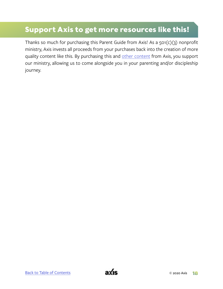#### **Support Axis to get more resources like this!**

Thanks so much for purchasing this Parent Guide from Axis! As a 501(c)(3) nonprofit ministry, Axis invests all proceeds from your purchases back into the creation of more quality content like this. By purchasing this and [other content](https://axis.org) from Axis, you support our ministry, allowing us to come alongside you in your parenting and/or discipleship journey.

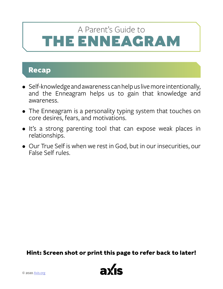# <span id="page-22-0"></span>**IE ENNEAGRAM** A Parent's Guide to

#### **Recap**

- Self-knowledge and awareness can help us live more intentionally, and the Enneagram helps us to gain that knowledge and awareness.
- The Enneagram is a personality typing system that touches on core desires, fears, and motivations.
- It's a strong parenting tool that can expose weak places in relationships.
- Our True Self is when we rest in God, but in our insecurities, our False Self rules.

**Hint: Screen shot or print this page to refer back to later!**